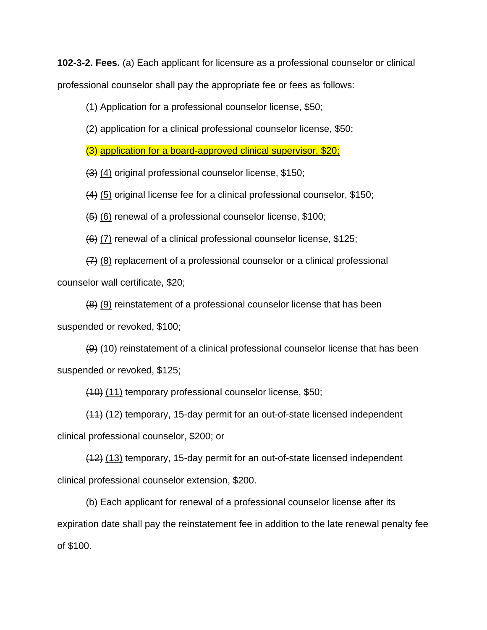**102-3-2. Fees.** (a) Each applicant for licensure as a professional counselor or clinical professional counselor shall pay the appropriate fee or fees as follows:

(1) Application for a professional counselor license, \$50;

(2) application for a clinical professional counselor license, \$50;

(3) application for a board-approved clinical supervisor, \$20;

(3) (4) original professional counselor license, \$150;

(4) (5) original license fee for a clinical professional counselor, \$150;

(5) (6) renewal of a professional counselor license, \$100;

 $(6)$  (7) renewal of a clinical professional counselor license, \$125;

(7) (8) replacement of a professional counselor or a clinical professional counselor wall certificate, \$20;

(8) (9) reinstatement of a professional counselor license that has been suspended or revoked, \$100;

(9) (10) reinstatement of a clinical professional counselor license that has been suspended or revoked, \$125;

(10) (11) temporary professional counselor license, \$50;

(11) (12) temporary, 15-day permit for an out-of-state licensed independent clinical professional counselor, \$200; or

(12) (13) temporary, 15-day permit for an out-of-state licensed independent clinical professional counselor extension, \$200.

(b) Each applicant for renewal of a professional counselor license after its expiration date shall pay the reinstatement fee in addition to the late renewal penalty fee of \$100.